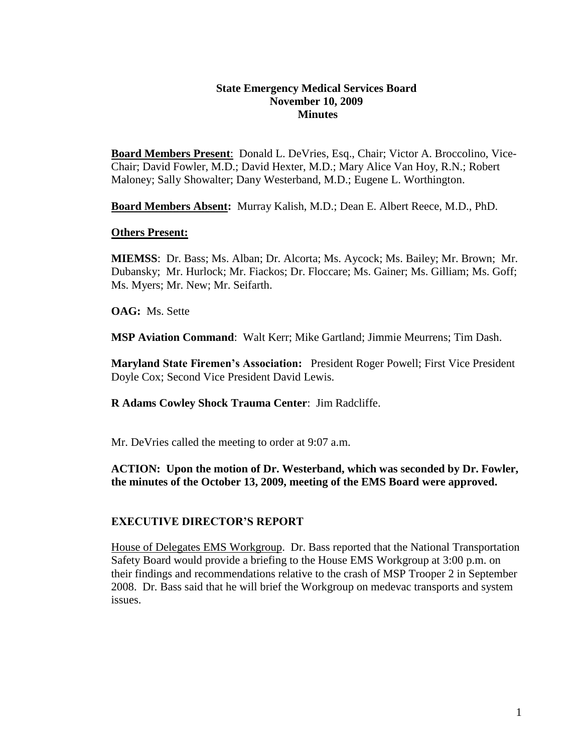### **State Emergency Medical Services Board November 10, 2009 Minutes**

**Board Members Present**: Donald L. DeVries, Esq., Chair; Victor A. Broccolino, Vice-Chair; David Fowler, M.D.; David Hexter, M.D.; Mary Alice Van Hoy, R.N.; Robert Maloney; Sally Showalter; Dany Westerband, M.D.; Eugene L. Worthington.

**Board Members Absent:** Murray Kalish, M.D.; Dean E. Albert Reece, M.D., PhD.

### **Others Present:**

**MIEMSS**: Dr. Bass; Ms. Alban; Dr. Alcorta; Ms. Aycock; Ms. Bailey; Mr. Brown; Mr. Dubansky; Mr. Hurlock; Mr. Fiackos; Dr. Floccare; Ms. Gainer; Ms. Gilliam; Ms. Goff; Ms. Myers; Mr. New; Mr. Seifarth.

**OAG:** Ms. Sette

**MSP Aviation Command**: Walt Kerr; Mike Gartland; Jimmie Meurrens; Tim Dash.

**Maryland State Firemen's Association:** President Roger Powell; First Vice President Doyle Cox; Second Vice President David Lewis.

**R Adams Cowley Shock Trauma Center**: Jim Radcliffe.

Mr. DeVries called the meeting to order at 9:07 a.m.

**ACTION: Upon the motion of Dr. Westerband, which was seconded by Dr. Fowler, the minutes of the October 13, 2009, meeting of the EMS Board were approved.**

# **EXECUTIVE DIRECTOR'S REPORT**

House of Delegates EMS Workgroup. Dr. Bass reported that the National Transportation Safety Board would provide a briefing to the House EMS Workgroup at 3:00 p.m. on their findings and recommendations relative to the crash of MSP Trooper 2 in September 2008. Dr. Bass said that he will brief the Workgroup on medevac transports and system issues.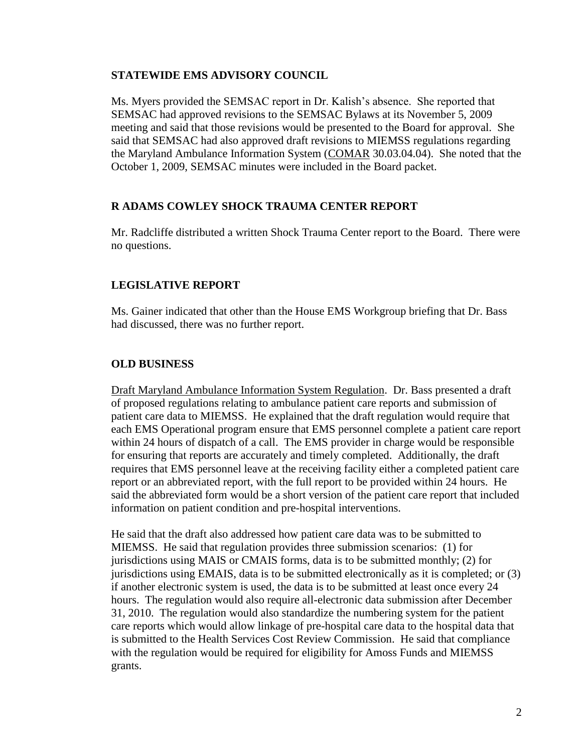## **STATEWIDE EMS ADVISORY COUNCIL**

Ms. Myers provided the SEMSAC report in Dr. Kalish's absence. She reported that SEMSAC had approved revisions to the SEMSAC Bylaws at its November 5, 2009 meeting and said that those revisions would be presented to the Board for approval. She said that SEMSAC had also approved draft revisions to MIEMSS regulations regarding the Maryland Ambulance Information System (COMAR 30.03.04.04). She noted that the October 1, 2009, SEMSAC minutes were included in the Board packet.

# **R ADAMS COWLEY SHOCK TRAUMA CENTER REPORT**

Mr. Radcliffe distributed a written Shock Trauma Center report to the Board. There were no questions.

# **LEGISLATIVE REPORT**

Ms. Gainer indicated that other than the House EMS Workgroup briefing that Dr. Bass had discussed, there was no further report.

# **OLD BUSINESS**

Draft Maryland Ambulance Information System Regulation. Dr. Bass presented a draft of proposed regulations relating to ambulance patient care reports and submission of patient care data to MIEMSS. He explained that the draft regulation would require that each EMS Operational program ensure that EMS personnel complete a patient care report within 24 hours of dispatch of a call. The EMS provider in charge would be responsible for ensuring that reports are accurately and timely completed. Additionally, the draft requires that EMS personnel leave at the receiving facility either a completed patient care report or an abbreviated report, with the full report to be provided within 24 hours. He said the abbreviated form would be a short version of the patient care report that included information on patient condition and pre-hospital interventions.

He said that the draft also addressed how patient care data was to be submitted to MIEMSS. He said that regulation provides three submission scenarios: (1) for jurisdictions using MAIS or CMAIS forms, data is to be submitted monthly; (2) for jurisdictions using EMAIS, data is to be submitted electronically as it is completed; or (3) if another electronic system is used, the data is to be submitted at least once every 24 hours. The regulation would also require all-electronic data submission after December 31, 2010. The regulation would also standardize the numbering system for the patient care reports which would allow linkage of pre-hospital care data to the hospital data that is submitted to the Health Services Cost Review Commission. He said that compliance with the regulation would be required for eligibility for Amoss Funds and MIEMSS grants.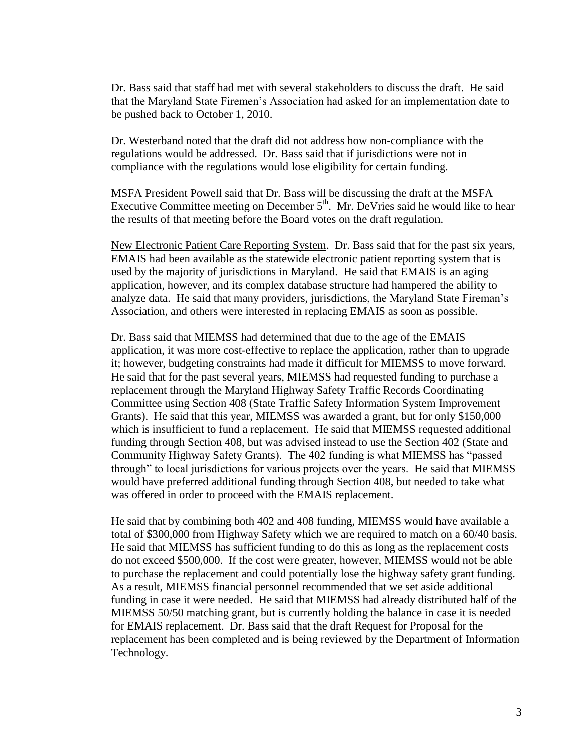Dr. Bass said that staff had met with several stakeholders to discuss the draft. He said that the Maryland State Firemen's Association had asked for an implementation date to be pushed back to October 1, 2010.

Dr. Westerband noted that the draft did not address how non-compliance with the regulations would be addressed. Dr. Bass said that if jurisdictions were not in compliance with the regulations would lose eligibility for certain funding.

MSFA President Powell said that Dr. Bass will be discussing the draft at the MSFA Executive Committee meeting on December  $5<sup>th</sup>$ . Mr. DeVries said he would like to hear the results of that meeting before the Board votes on the draft regulation.

New Electronic Patient Care Reporting System. Dr. Bass said that for the past six years, EMAIS had been available as the statewide electronic patient reporting system that is used by the majority of jurisdictions in Maryland. He said that EMAIS is an aging application, however, and its complex database structure had hampered the ability to analyze data. He said that many providers, jurisdictions, the Maryland State Fireman's Association, and others were interested in replacing EMAIS as soon as possible.

Dr. Bass said that MIEMSS had determined that due to the age of the EMAIS application, it was more cost-effective to replace the application, rather than to upgrade it; however, budgeting constraints had made it difficult for MIEMSS to move forward. He said that for the past several years, MIEMSS had requested funding to purchase a replacement through the Maryland Highway Safety Traffic Records Coordinating Committee using Section 408 (State Traffic Safety Information System Improvement Grants). He said that this year, MIEMSS was awarded a grant, but for only \$150,000 which is insufficient to fund a replacement. He said that MIEMSS requested additional funding through Section 408, but was advised instead to use the Section 402 (State and Community Highway Safety Grants). The 402 funding is what MIEMSS has "passed through" to local jurisdictions for various projects over the years. He said that MIEMSS would have preferred additional funding through Section 408, but needed to take what was offered in order to proceed with the EMAIS replacement.

He said that by combining both 402 and 408 funding, MIEMSS would have available a total of \$300,000 from Highway Safety which we are required to match on a 60/40 basis. He said that MIEMSS has sufficient funding to do this as long as the replacement costs do not exceed \$500,000. If the cost were greater, however, MIEMSS would not be able to purchase the replacement and could potentially lose the highway safety grant funding. As a result, MIEMSS financial personnel recommended that we set aside additional funding in case it were needed. He said that MIEMSS had already distributed half of the MIEMSS 50/50 matching grant, but is currently holding the balance in case it is needed for EMAIS replacement. Dr. Bass said that the draft Request for Proposal for the replacement has been completed and is being reviewed by the Department of Information Technology.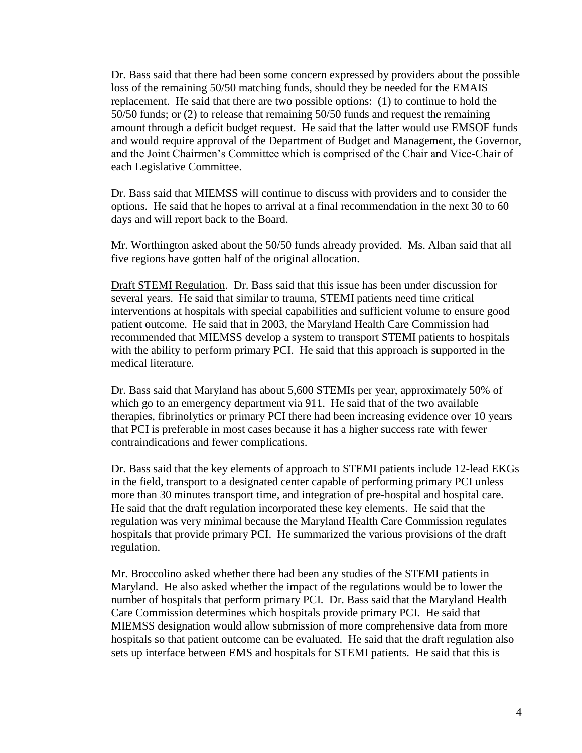Dr. Bass said that there had been some concern expressed by providers about the possible loss of the remaining 50/50 matching funds, should they be needed for the EMAIS replacement. He said that there are two possible options: (1) to continue to hold the 50/50 funds; or (2) to release that remaining 50/50 funds and request the remaining amount through a deficit budget request. He said that the latter would use EMSOF funds and would require approval of the Department of Budget and Management, the Governor, and the Joint Chairmen's Committee which is comprised of the Chair and Vice-Chair of each Legislative Committee.

Dr. Bass said that MIEMSS will continue to discuss with providers and to consider the options. He said that he hopes to arrival at a final recommendation in the next 30 to 60 days and will report back to the Board.

Mr. Worthington asked about the 50/50 funds already provided. Ms. Alban said that all five regions have gotten half of the original allocation.

Draft STEMI Regulation. Dr. Bass said that this issue has been under discussion for several years. He said that similar to trauma, STEMI patients need time critical interventions at hospitals with special capabilities and sufficient volume to ensure good patient outcome. He said that in 2003, the Maryland Health Care Commission had recommended that MIEMSS develop a system to transport STEMI patients to hospitals with the ability to perform primary PCI. He said that this approach is supported in the medical literature.

Dr. Bass said that Maryland has about 5,600 STEMIs per year, approximately 50% of which go to an emergency department via 911. He said that of the two available therapies, fibrinolytics or primary PCI there had been increasing evidence over 10 years that PCI is preferable in most cases because it has a higher success rate with fewer contraindications and fewer complications.

Dr. Bass said that the key elements of approach to STEMI patients include 12-lead EKGs in the field, transport to a designated center capable of performing primary PCI unless more than 30 minutes transport time, and integration of pre-hospital and hospital care. He said that the draft regulation incorporated these key elements. He said that the regulation was very minimal because the Maryland Health Care Commission regulates hospitals that provide primary PCI. He summarized the various provisions of the draft regulation.

Mr. Broccolino asked whether there had been any studies of the STEMI patients in Maryland. He also asked whether the impact of the regulations would be to lower the number of hospitals that perform primary PCI. Dr. Bass said that the Maryland Health Care Commission determines which hospitals provide primary PCI. He said that MIEMSS designation would allow submission of more comprehensive data from more hospitals so that patient outcome can be evaluated. He said that the draft regulation also sets up interface between EMS and hospitals for STEMI patients. He said that this is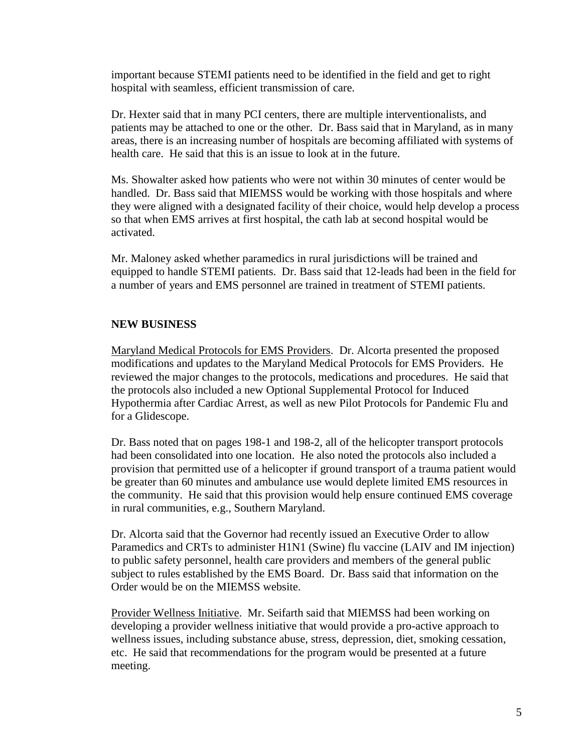important because STEMI patients need to be identified in the field and get to right hospital with seamless, efficient transmission of care.

Dr. Hexter said that in many PCI centers, there are multiple interventionalists, and patients may be attached to one or the other. Dr. Bass said that in Maryland, as in many areas, there is an increasing number of hospitals are becoming affiliated with systems of health care. He said that this is an issue to look at in the future.

Ms. Showalter asked how patients who were not within 30 minutes of center would be handled. Dr. Bass said that MIEMSS would be working with those hospitals and where they were aligned with a designated facility of their choice, would help develop a process so that when EMS arrives at first hospital, the cath lab at second hospital would be activated.

Mr. Maloney asked whether paramedics in rural jurisdictions will be trained and equipped to handle STEMI patients. Dr. Bass said that 12-leads had been in the field for a number of years and EMS personnel are trained in treatment of STEMI patients.

# **NEW BUSINESS**

Maryland Medical Protocols for EMS Providers. Dr. Alcorta presented the proposed modifications and updates to the Maryland Medical Protocols for EMS Providers. He reviewed the major changes to the protocols, medications and procedures. He said that the protocols also included a new Optional Supplemental Protocol for Induced Hypothermia after Cardiac Arrest, as well as new Pilot Protocols for Pandemic Flu and for a Glidescope.

Dr. Bass noted that on pages 198-1 and 198-2, all of the helicopter transport protocols had been consolidated into one location. He also noted the protocols also included a provision that permitted use of a helicopter if ground transport of a trauma patient would be greater than 60 minutes and ambulance use would deplete limited EMS resources in the community. He said that this provision would help ensure continued EMS coverage in rural communities, e.g., Southern Maryland.

Dr. Alcorta said that the Governor had recently issued an Executive Order to allow Paramedics and CRTs to administer H1N1 (Swine) flu vaccine (LAIV and IM injection) to public safety personnel, health care providers and members of the general public subject to rules established by the EMS Board. Dr. Bass said that information on the Order would be on the MIEMSS website.

Provider Wellness Initiative. Mr. Seifarth said that MIEMSS had been working on developing a provider wellness initiative that would provide a pro-active approach to wellness issues, including substance abuse, stress, depression, diet, smoking cessation, etc. He said that recommendations for the program would be presented at a future meeting.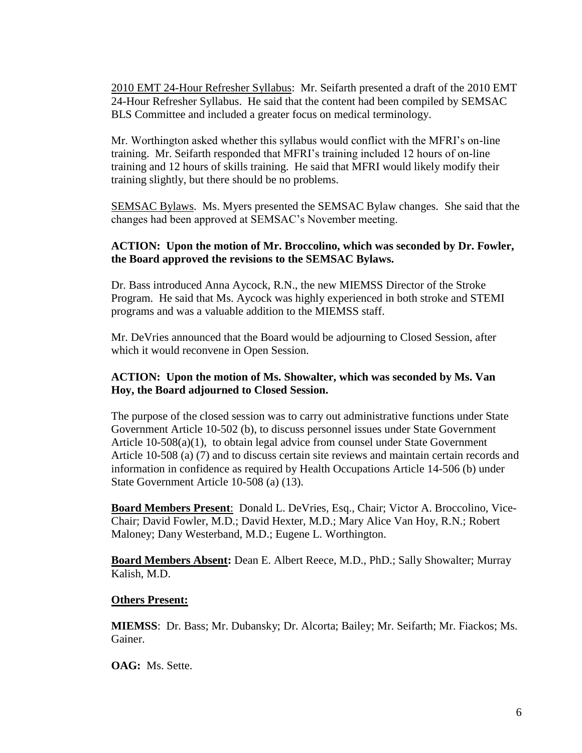2010 EMT 24-Hour Refresher Syllabus: Mr. Seifarth presented a draft of the 2010 EMT 24-Hour Refresher Syllabus. He said that the content had been compiled by SEMSAC BLS Committee and included a greater focus on medical terminology.

Mr. Worthington asked whether this syllabus would conflict with the MFRI's on-line training. Mr. Seifarth responded that MFRI's training included 12 hours of on-line training and 12 hours of skills training. He said that MFRI would likely modify their training slightly, but there should be no problems.

SEMSAC Bylaws. Ms. Myers presented the SEMSAC Bylaw changes. She said that the changes had been approved at SEMSAC's November meeting.

### **ACTION: Upon the motion of Mr. Broccolino, which was seconded by Dr. Fowler, the Board approved the revisions to the SEMSAC Bylaws.**

Dr. Bass introduced Anna Aycock, R.N., the new MIEMSS Director of the Stroke Program. He said that Ms. Aycock was highly experienced in both stroke and STEMI programs and was a valuable addition to the MIEMSS staff.

Mr. DeVries announced that the Board would be adjourning to Closed Session, after which it would reconvene in Open Session.

## **ACTION: Upon the motion of Ms. Showalter, which was seconded by Ms. Van Hoy, the Board adjourned to Closed Session.**

The purpose of the closed session was to carry out administrative functions under State Government Article 10-502 (b), to discuss personnel issues under State Government Article 10-508(a)(1), to obtain legal advice from counsel under State Government Article 10-508 (a) (7) and to discuss certain site reviews and maintain certain records and information in confidence as required by Health Occupations Article 14-506 (b) under State Government Article 10-508 (a) (13).

**Board Members Present**: Donald L. DeVries, Esq., Chair; Victor A. Broccolino, Vice-Chair; David Fowler, M.D.; David Hexter, M.D.; Mary Alice Van Hoy, R.N.; Robert Maloney; Dany Westerband, M.D.; Eugene L. Worthington.

**Board Members Absent:** Dean E. Albert Reece, M.D., PhD.; Sally Showalter; Murray Kalish, M.D.

#### **Others Present:**

**MIEMSS**: Dr. Bass; Mr. Dubansky; Dr. Alcorta; Bailey; Mr. Seifarth; Mr. Fiackos; Ms. Gainer.

**OAG:** Ms. Sette.